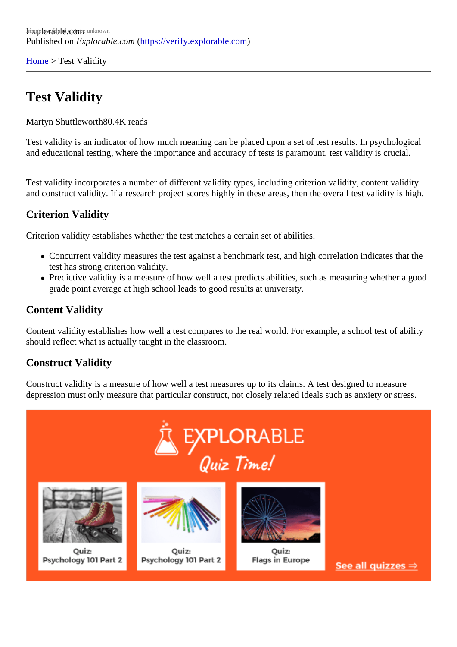[Home](https://verify.explorable.com/)> Test Validity

## Test Validity

Martyn Shuttlewort<sup>BO.4K</sup> reads

Test validity is an indicator of how much meaning can be placed upon a set of test results. In psychological and educational testing, where the importance and accuracy of tests is paramount, test validity is crucial.

Test validity incorporates a number of different validity types, including criterion validity, content validity and construct validity. If a research project scores highly in these areas, then the overall test validity is hig

#### Criterion Validity

Criterion validity establishes whether the test matches a certain set of abilities.

- Concurrent validity measures the test against a benchmark test, and high correlation indicates that the test has strong criterion validity.
- Predictive validity is a measure of how well a test predicts abilities, such as measuring whether a grade point average at high school leads to good results at university.

### Content Validity

Content validity establishes how well a test compares to the real world. For example, a school test of ability should reflect what is actually taught in the classroom.

#### Construct Validity

Construct validity is a measure of how well a test measures up to its claims. A test designed to measure depression must only measure that particular construct, not closely related ideals such as anxiety or stress.